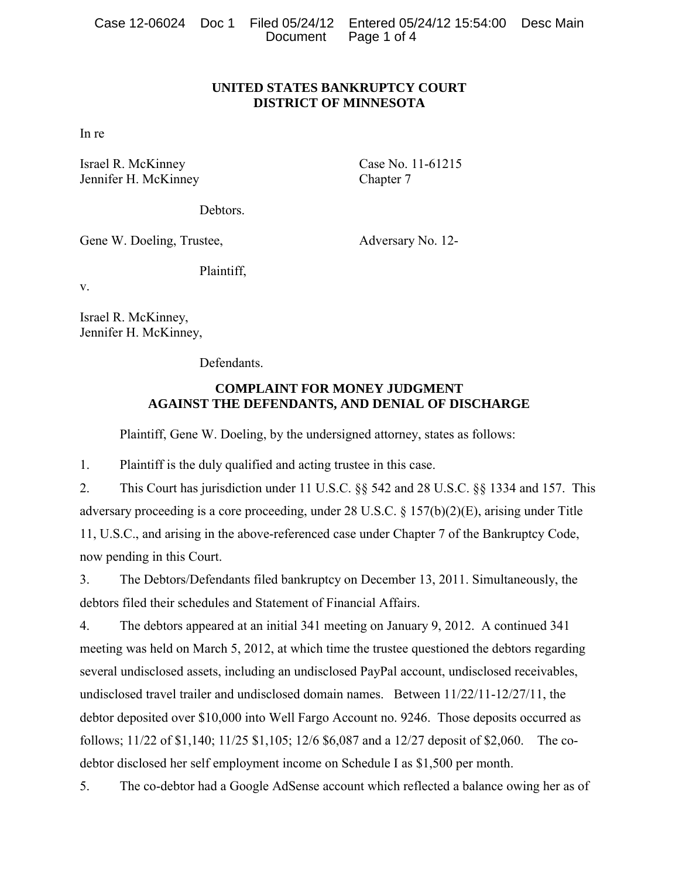|  |                      | Case 12-06024  Doc 1  Filed 05/24/12  Entered 05/24/12  15:54:00  Desc Main |  |
|--|----------------------|-----------------------------------------------------------------------------|--|
|  | Document Page 1 of 4 |                                                                             |  |

### **UNITED STATES BANKRUPTCY COURT DISTRICT OF MINNESOTA**

In re

Israel R. McKinney Case No. 11-61215 Jennifer H. McKinney Chapter 7

**Debtors** 

Gene W. Doeling, Trustee, Adversary No. 12-

Plaintiff,

v.

Israel R. McKinney, Jennifer H. McKinney,

**Defendants** 

## **COMPLAINT FOR MONEY JUDGMENT AGAINST THE DEFENDANTS, AND DENIAL OF DISCHARGE**

Plaintiff, Gene W. Doeling, by the undersigned attorney, states as follows:

1. Plaintiff is the duly qualified and acting trustee in this case.

2. This Court has jurisdiction under 11 U.S.C. §§ 542 and 28 U.S.C. §§ 1334 and 157. This adversary proceeding is a core proceeding, under 28 U.S.C. § 157(b)(2)(E), arising under Title 11, U.S.C., and arising in the above-referenced case under Chapter 7 of the Bankruptcy Code, now pending in this Court.

3. The Debtors/Defendants filed bankruptcy on December 13, 2011. Simultaneously, the debtors filed their schedules and Statement of Financial Affairs.

4. The debtors appeared at an initial 341 meeting on January 9, 2012. A continued 341 meeting was held on March 5, 2012, at which time the trustee questioned the debtors regarding several undisclosed assets, including an undisclosed PayPal account, undisclosed receivables, undisclosed travel trailer and undisclosed domain names. Between 11/22/11-12/27/11, the debtor deposited over \$10,000 into Well Fargo Account no. 9246. Those deposits occurred as follows; 11/22 of \$1,140; 11/25 \$1,105; 12/6 \$6,087 and a 12/27 deposit of \$2,060. The codebtor disclosed her self employment income on Schedule I as \$1,500 per month.

5. The co-debtor had a Google AdSense account which reflected a balance owing her as of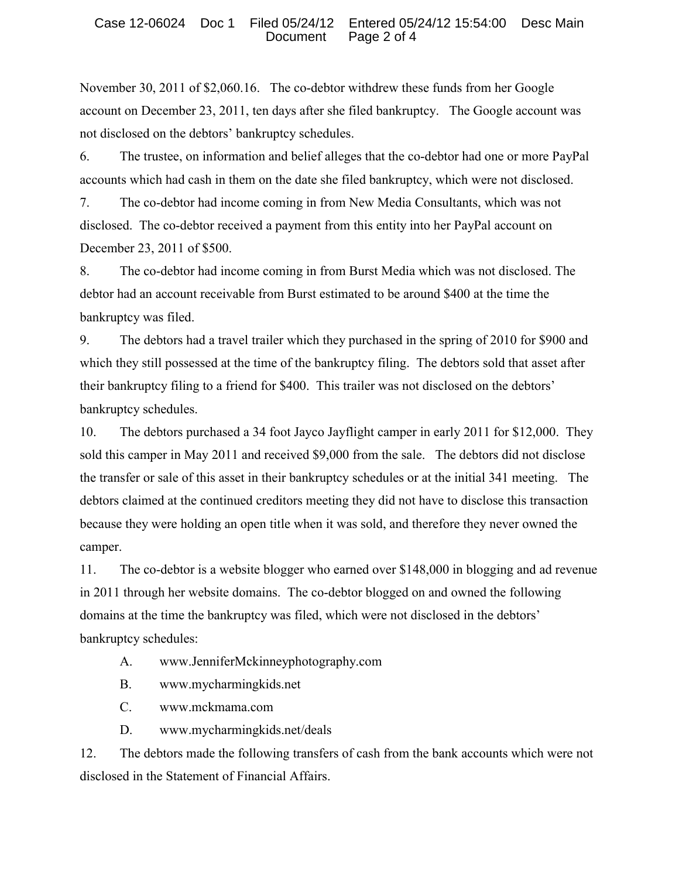November 30, 2011 of \$2,060.16. The co-debtor withdrew these funds from her Google account on December 23, 2011, ten days after she filed bankruptcy. The Google account was not disclosed on the debtors' bankruptcy schedules.

6. The trustee, on information and belief alleges that the co-debtor had one or more PayPal accounts which had cash in them on the date she filed bankruptcy, which were not disclosed.

7. The co-debtor had income coming in from New Media Consultants, which was not disclosed. The co-debtor received a payment from this entity into her PayPal account on December 23, 2011 of \$500.

8. The co-debtor had income coming in from Burst Media which was not disclosed. The debtor had an account receivable from Burst estimated to be around \$400 at the time the bankruptcy was filed.

9. The debtors had a travel trailer which they purchased in the spring of 2010 for \$900 and which they still possessed at the time of the bankruptcy filing. The debtors sold that asset after their bankruptcy filing to a friend for \$400. This trailer was not disclosed on the debtors' bankruptcy schedules.

10. The debtors purchased a 34 foot Jayco Jayflight camper in early 2011 for \$12,000. They sold this camper in May 2011 and received \$9,000 from the sale. The debtors did not disclose the transfer or sale of this asset in their bankruptcy schedules or at the initial 341 meeting. The debtors claimed at the continued creditors meeting they did not have to disclose this transaction because they were holding an open title when it was sold, and therefore they never owned the camper.

11. The co-debtor is a website blogger who earned over \$148,000 in blogging and ad revenue in 2011 through her website domains. The co-debtor blogged on and owned the following domains at the time the bankruptcy was filed, which were not disclosed in the debtors' bankruptcy schedules:

- A. www.JenniferMckinneyphotography.com
- B. www.mycharmingkids.net
- C. www.mckmama.com
- D. www.mycharmingkids.net/deals

12. The debtors made the following transfers of cash from the bank accounts which were not disclosed in the Statement of Financial Affairs.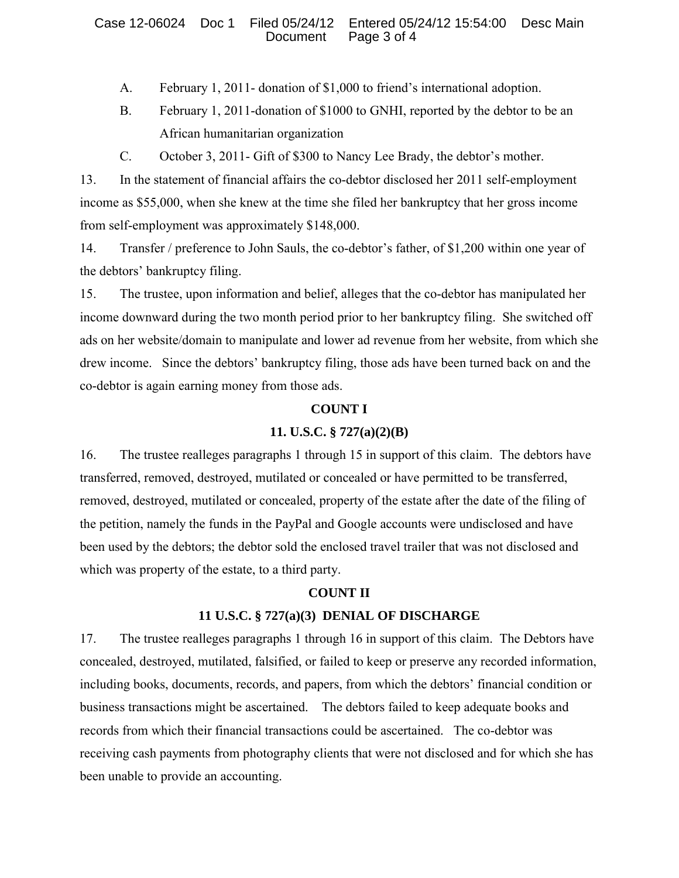- A. February 1, 2011- donation of \$1,000 to friend's international adoption.
- B. February 1, 2011-donation of \$1000 to GNHI, reported by the debtor to be an African humanitarian organization
- C. October 3, 2011- Gift of \$300 to Nancy Lee Brady, the debtor's mother.

13. In the statement of financial affairs the co-debtor disclosed her 2011 self-employment income as \$55,000, when she knew at the time she filed her bankruptcy that her gross income from self-employment was approximately \$148,000.

14. Transfer / preference to John Sauls, the co-debtor's father, of \$1,200 within one year of the debtors' bankruptcy filing.

15. The trustee, upon information and belief, alleges that the co-debtor has manipulated her income downward during the two month period prior to her bankruptcy filing. She switched off ads on her website/domain to manipulate and lower ad revenue from her website, from which she drew income. Since the debtors' bankruptcy filing, those ads have been turned back on and the co-debtor is again earning money from those ads.

## **COUNT I**

# **11. U.S.C. § 727(a)(2)(B)**

16. The trustee realleges paragraphs 1 through 15 in support of this claim. The debtors have transferred, removed, destroyed, mutilated or concealed or have permitted to be transferred, removed, destroyed, mutilated or concealed, property of the estate after the date of the filing of the petition, namely the funds in the PayPal and Google accounts were undisclosed and have been used by the debtors; the debtor sold the enclosed travel trailer that was not disclosed and which was property of the estate, to a third party.

### **COUNT II**

### **11 U.S.C. § 727(a)(3) DENIAL OF DISCHARGE**

17. The trustee realleges paragraphs 1 through 16 in support of this claim. The Debtors have concealed, destroyed, mutilated, falsified, or failed to keep or preserve any recorded information, including books, documents, records, and papers, from which the debtors' financial condition or business transactions might be ascertained. The debtors failed to keep adequate books and records from which their financial transactions could be ascertained. The co-debtor was receiving cash payments from photography clients that were not disclosed and for which she has been unable to provide an accounting.